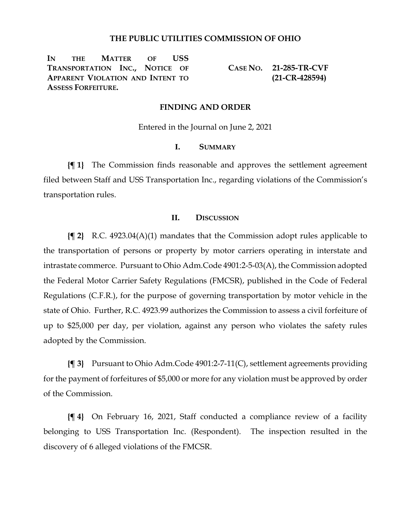# **THE PUBLIC UTILITIES COMMISSION OF OHIO**

**IN THE MATTER OF USS TRANSPORTATION INC., NOTICE OF APPARENT VIOLATION AND INTENT TO ASSESS FORFEITURE.**

**CASE NO. 21-285-TR-CVF (21-CR-428594)**

### **FINDING AND ORDER**

Entered in the Journal on June 2, 2021

### **I. SUMMARY**

**{¶ 1}** The Commission finds reasonable and approves the settlement agreement filed between Staff and USS Transportation Inc., regarding violations of the Commission's transportation rules.

# **II. DISCUSSION**

**{¶ 2}** R.C. 4923.04(A)(1) mandates that the Commission adopt rules applicable to the transportation of persons or property by motor carriers operating in interstate and intrastate commerce. Pursuant to Ohio Adm.Code 4901:2-5-03(A), the Commission adopted the Federal Motor Carrier Safety Regulations (FMCSR), published in the Code of Federal Regulations (C.F.R.), for the purpose of governing transportation by motor vehicle in the state of Ohio. Further, R.C. 4923.99 authorizes the Commission to assess a civil forfeiture of up to \$25,000 per day, per violation, against any person who violates the safety rules adopted by the Commission.

**{¶ 3}** Pursuant to Ohio Adm.Code 4901:2-7-11(C), settlement agreements providing for the payment of forfeitures of \$5,000 or more for any violation must be approved by order of the Commission.

**{¶ 4}** On February 16, 2021, Staff conducted a compliance review of a facility belonging to USS Transportation Inc. (Respondent). The inspection resulted in the discovery of 6 alleged violations of the FMCSR.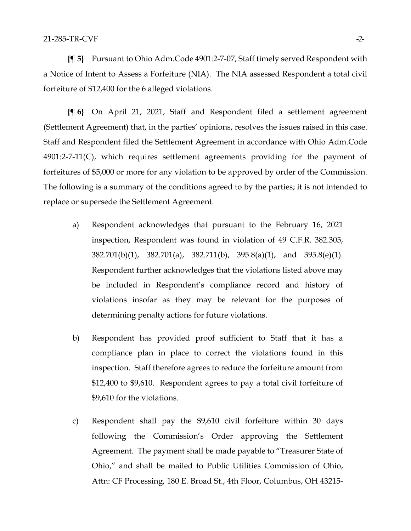**{¶ 5}** Pursuant to Ohio Adm.Code 4901:2-7-07, Staff timely served Respondent with a Notice of Intent to Assess a Forfeiture (NIA). The NIA assessed Respondent a total civil forfeiture of \$12,400 for the 6 alleged violations.

**{¶ 6}** On April 21, 2021, Staff and Respondent filed a settlement agreement (Settlement Agreement) that, in the parties' opinions, resolves the issues raised in this case. Staff and Respondent filed the Settlement Agreement in accordance with Ohio Adm.Code 4901:2-7-11(C), which requires settlement agreements providing for the payment of forfeitures of \$5,000 or more for any violation to be approved by order of the Commission. The following is a summary of the conditions agreed to by the parties; it is not intended to replace or supersede the Settlement Agreement.

- a) Respondent acknowledges that pursuant to the February 16, 2021 inspection, Respondent was found in violation of 49 C.F.R. 382.305, 382.701(b)(1), 382.701(a), 382.711(b), 395.8(a)(1), and 395.8(e)(1). Respondent further acknowledges that the violations listed above may be included in Respondent's compliance record and history of violations insofar as they may be relevant for the purposes of determining penalty actions for future violations.
- b) Respondent has provided proof sufficient to Staff that it has a compliance plan in place to correct the violations found in this inspection. Staff therefore agrees to reduce the forfeiture amount from \$12,400 to \$9,610. Respondent agrees to pay a total civil forfeiture of \$9,610 for the violations.
- c) Respondent shall pay the \$9,610 civil forfeiture within 30 days following the Commission's Order approving the Settlement Agreement. The payment shall be made payable to "Treasurer State of Ohio," and shall be mailed to Public Utilities Commission of Ohio, Attn: CF Processing, 180 E. Broad St., 4th Floor, Columbus, OH 43215-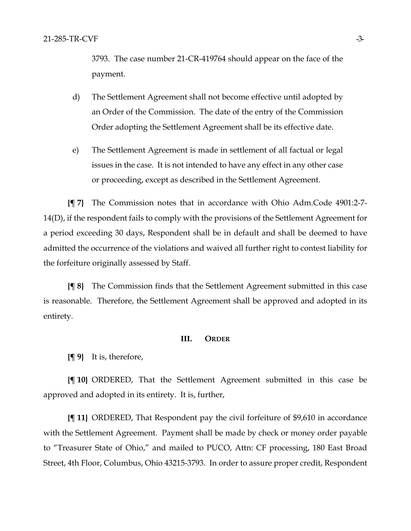3793. The case number 21-CR-419764 should appear on the face of the payment.

- d) The Settlement Agreement shall not become effective until adopted by an Order of the Commission. The date of the entry of the Commission Order adopting the Settlement Agreement shall be its effective date.
- e) The Settlement Agreement is made in settlement of all factual or legal issues in the case. It is not intended to have any effect in any other case or proceeding, except as described in the Settlement Agreement.

**{¶ 7}** The Commission notes that in accordance with Ohio Adm.Code 4901:2-7- 14(D), if the respondent fails to comply with the provisions of the Settlement Agreement for a period exceeding 30 days, Respondent shall be in default and shall be deemed to have admitted the occurrence of the violations and waived all further right to contest liability for the forfeiture originally assessed by Staff.

**{¶ 8}** The Commission finds that the Settlement Agreement submitted in this case is reasonable. Therefore, the Settlement Agreement shall be approved and adopted in its entirety.

### **III. ORDER**

**{¶ 9}** It is, therefore,

**{¶ 10}** ORDERED, That the Settlement Agreement submitted in this case be approved and adopted in its entirety. It is, further,

**{¶ 11}** ORDERED, That Respondent pay the civil forfeiture of \$9,610 in accordance with the Settlement Agreement. Payment shall be made by check or money order payable to "Treasurer State of Ohio," and mailed to PUCO, Attn: CF processing, 180 East Broad Street, 4th Floor, Columbus, Ohio 43215-3793. In order to assure proper credit, Respondent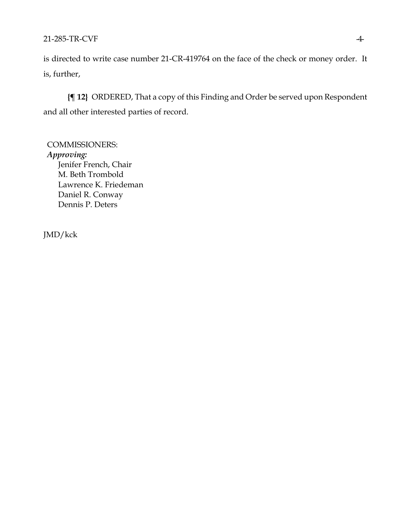# 21-285-TR-CVF-4-

is directed to write case number 21-CR-419764 on the face of the check or money order. It is, further,

**{¶ 12}** ORDERED, That a copy of this Finding and Order be served upon Respondent and all other interested parties of record.

COMMISSIONERS: *Approving:*  Jenifer French, Chair M. Beth Trombold Lawrence K. Friedeman Daniel R. Conway Dennis P. Deters

JMD/kck